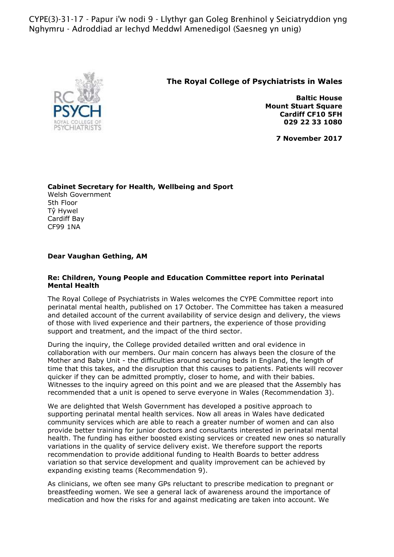CYPE(3)-31-17 - Papur i'w nodi 9 - Llythyr gan Goleg Brenhinol y Seiciatryddion yng Nghymru - Adroddiad ar Iechyd Meddwl Amenedigol (Saesneg yn unig)



## **The Royal College of Psychiatrists in Wales**

**Baltic House Mount Stuart Square Cardiff CF10 5FH 029 22 33 1080**

**7 November 2017**

**Cabinet Secretary for Health, Wellbeing and Sport**  Welsh Government 5th Floor Tŷ Hywel Cardiff Bay CF99 1NA

## **Dear Vaughan Gething, AM**

## **Re: Children, Young People and Education Committee report into Perinatal Mental Health**

The Royal College of Psychiatrists in Wales welcomes the CYPE Committee report into perinatal mental health, published on 17 October. The Committee has taken a measured and detailed account of the current availability of service design and delivery, the views of those with lived experience and their partners, the experience of those providing support and treatment, and the impact of the third sector.

During the inquiry, the College provided detailed written and oral evidence in collaboration with our members. Our main concern has always been the closure of the Mother and Baby Unit - the difficulties around securing beds in England, the length of time that this takes, and the disruption that this causes to patients. Patients will recover quicker if they can be admitted promptly, closer to home, and with their babies. Witnesses to the inquiry agreed on this point and we are pleased that the Assembly has recommended that a unit is opened to serve everyone in Wales (Recommendation 3).

We are delighted that Welsh Government has developed a positive approach to supporting perinatal mental health services. Now all areas in Wales have dedicated community services which are able to reach a greater number of women and can also provide better training for junior doctors and consultants interested in perinatal mental health. The funding has either boosted existing services or created new ones so naturally variations in the quality of service delivery exist. We therefore support the reports recommendation to provide additional funding to Health Boards to better address variation so that service development and quality improvement can be achieved by expanding existing teams (Recommendation 9).

As clinicians, we often see many GPs reluctant to prescribe medication to pregnant or breastfeeding women. We see a general lack of awareness around the importance of medication and how the risks for and against medicating are taken into account. We